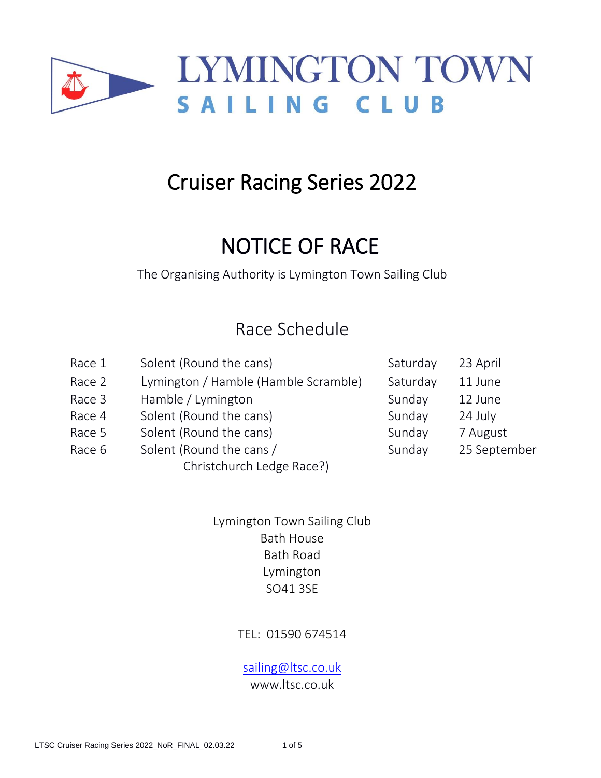

# Cruiser Racing Series 2022

# NOTICE OF RACE

The Organising Authority is Lymington Town Sailing Club

## Race Schedule

Race 1 Solent (Round the cans) Saturday 23 April Race 2 Lymington / Hamble (Hamble Scramble) Saturday 11 June Race 3 Hamble / Lymington Sunday 12 June Race 4 Solent (Round the cans) Sunday 24 July Race 5 Solent (Round the cans) Sunday 7 August Race 6 Solent (Round the cans / Sunday 25 September Christchurch Ledge Race?)

> Lymington Town Sailing Club Bath House Bath Road Lymington SO41 3SE

## TEL: 01590 674514

## [sailing@ltsc.co.uk](mailto:sailing@ltsc.co.uk) [www.ltsc.co.uk](http://www.ltsc.co.uk/)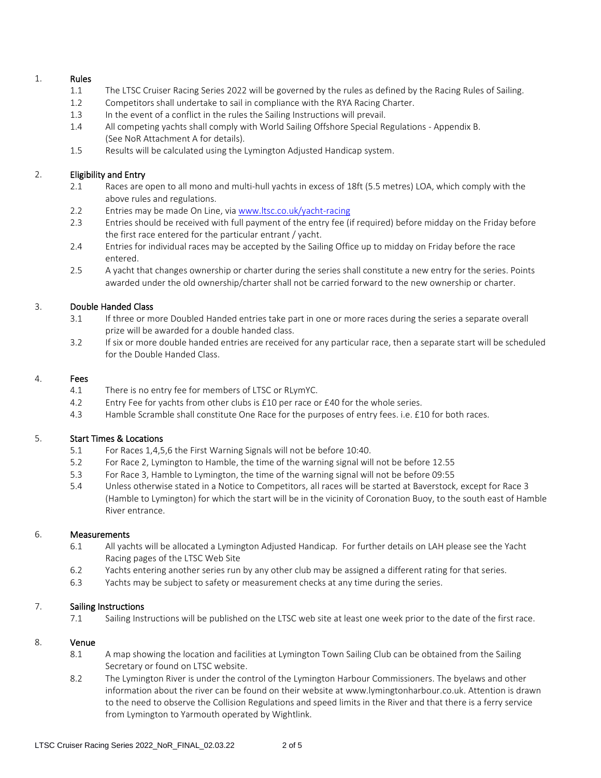#### 1. Rules

- 1.1 The LTSC Cruiser Racing Series 2022 will be governed by the rules as defined by the Racing Rules of Sailing.
- 1.2 Competitors shall undertake to sail in compliance with the RYA Racing Charter.
- 1.3 In the event of a conflict in the rules the Sailing Instructions will prevail.
- 1.4 All competing yachts shall comply with World Sailing Offshore Special Regulations Appendix B. (See NoR Attachment A for details).
- 1.5 Results will be calculated using the Lymington Adjusted Handicap system.

#### 2. Eligibility and Entry

- 2.1 Races are open to all mono and multi-hull yachts in excess of 18ft (5.5 metres) LOA, which comply with the above rules and regulations.
- 2.2 Entries may be made On Line, via [www.ltsc.co.uk/yacht-racing](http://www.ltsc.co.uk/yacht-racing)
- 2.3 Entries should be received with full payment of the entry fee (if required) before midday on the Friday before the first race entered for the particular entrant / yacht.
- 2.4 Entries for individual races may be accepted by the Sailing Office up to midday on Friday before the race entered.
- 2.5 A yacht that changes ownership or charter during the series shall constitute a new entry for the series. Points awarded under the old ownership/charter shall not be carried forward to the new ownership or charter.

#### 3. Double Handed Class

- 3.1 If three or more Doubled Handed entries take part in one or more races during the series a separate overall prize will be awarded for a double handed class.
- 3.2 If six or more double handed entries are received for any particular race, then a separate start will be scheduled for the Double Handed Class.

#### 4. Fees

- 4.1 There is no entry fee for members of LTSC or RLymYC.
- 4.2 Entry Fee for yachts from other clubs is £10 per race or £40 for the whole series.
- 4.3 Hamble Scramble shall constitute One Race for the purposes of entry fees. i.e. £10 for both races.

#### 5. Start Times & Locations

- 5.1 For Races 1,4,5,6 the First Warning Signals will not be before 10:40.
- 5.2 For Race 2, Lymington to Hamble, the time of the warning signal will not be before 12.55
- 5.3 For Race 3, Hamble to Lymington, the time of the warning signal will not be before 09:55
- 5.4 Unless otherwise stated in a Notice to Competitors, all races will be started at Baverstock, except for Race 3 (Hamble to Lymington) for which the start will be in the vicinity of Coronation Buoy, to the south east of Hamble River entrance.

#### 6. Measurements

- 6.1 All yachts will be allocated a Lymington Adjusted Handicap. For further details on LAH please see the Yacht Racing pages of the LTSC Web Site
- 6.2 Yachts entering another series run by any other club may be assigned a different rating for that series.
- 6.3 Yachts may be subject to safety or measurement checks at any time during the series.

#### 7. Sailing Instructions

7.1 Sailing Instructions will be published on the LTSC web site at least one week prior to the date of the first race.

#### 8. Venue

- 8.1 A map showing the location and facilities at Lymington Town Sailing Club can be obtained from the Sailing Secretary or found on LTSC website.
- 8.2 The Lymington River is under the control of the Lymington Harbour Commissioners. The byelaws and other information about the river can be found on their website at [www.lymingtonharbour.co.uk.](http://www.lymingtonharbour.co.uk/) Attention is drawn to the need to observe the Collision Regulations and speed limits in the River and that there is a ferry service from Lymington to Yarmouth operated by Wightlink.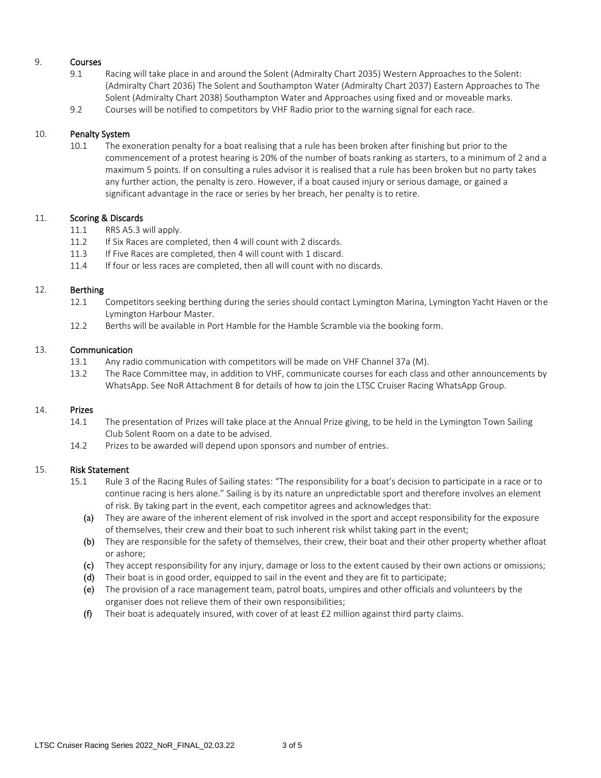#### 9. Courses

- 9.1 Racing will take place in and around the Solent (Admiralty Chart 2035) Western Approaches to the Solent: (Admiralty Chart 2036) The Solent and Southampton Water (Admiralty Chart 2037) Eastern Approaches to The Solent (Admiralty Chart 2038) Southampton Water and Approaches using fixed and or moveable marks.
- 9.2 Courses will be notified to competitors by VHF Radio prior to the warning signal for each race.

#### 10. Penalty System

10.1 The exoneration penalty for a boat realising that a rule has been broken after finishing but prior to the commencement of a protest hearing is 20% of the number of boats ranking as starters, to a minimum of 2 and a maximum 5 points. If on consulting a rules advisor it is realised that a rule has been broken but no party takes any further action, the penalty is zero. However, if a boat caused injury or serious damage, or gained a significant advantage in the race or series by her breach, her penalty is to retire.

#### 11. Scoring & Discards

- 11.1 RRS A5.3 will apply.
- 11.2 If Six Races are completed, then 4 will count with 2 discards.
- 11.3 If Five Races are completed, then 4 will count with 1 discard.
- 11.4 If four or less races are completed, then all will count with no discards.

#### 12. Berthing

- 12.1 Competitors seeking berthing during the series should contact Lymington Marina, Lymington Yacht Haven or the Lymington Harbour Master.
- 12.2 Berths will be available in Port Hamble for the Hamble Scramble via the booking form.

#### 13. Communication

- 13.1 Any radio communication with competitors will be made on VHF Channel 37a (M).
- 13.2 The Race Committee may, in addition to VHF, communicate courses for each class and other announcements by WhatsApp. See NoR Attachment B for details of how to join the LTSC Cruiser Racing WhatsApp Group.

#### 14. Prizes

- 14.1 The presentation of Prizes will take place at the Annual Prize giving, to be held in the Lymington Town Sailing Club Solent Room on a date to be advised.
- 14.2 Prizes to be awarded will depend upon sponsors and number of entries.

#### 15. Risk Statement

- 15.1 Rule 3 of the Racing Rules of Sailing states: "The responsibility for a boat's decision to participate in a race or to continue racing is hers alone." Sailing is by its nature an unpredictable sport and therefore involves an element of risk. By taking part in the event, each competitor agrees and acknowledges that:
	- (a) They are aware of the inherent element of risk involved in the sport and accept responsibility for the exposure of themselves, their crew and their boat to such inherent risk whilst taking part in the event;
	- (b) They are responsible for the safety of themselves, their crew, their boat and their other property whether afloat or ashore;
	- (c) They accept responsibility for any injury, damage or loss to the extent caused by their own actions or omissions;
	- (d) Their boat is in good order, equipped to sail in the event and they are fit to participate;
	- (e) The provision of a race management team, patrol boats, umpires and other officials and volunteers by the organiser does not relieve them of their own responsibilities;
	- (f) Their boat is adequately insured, with cover of at least  $£2$  million against third party claims.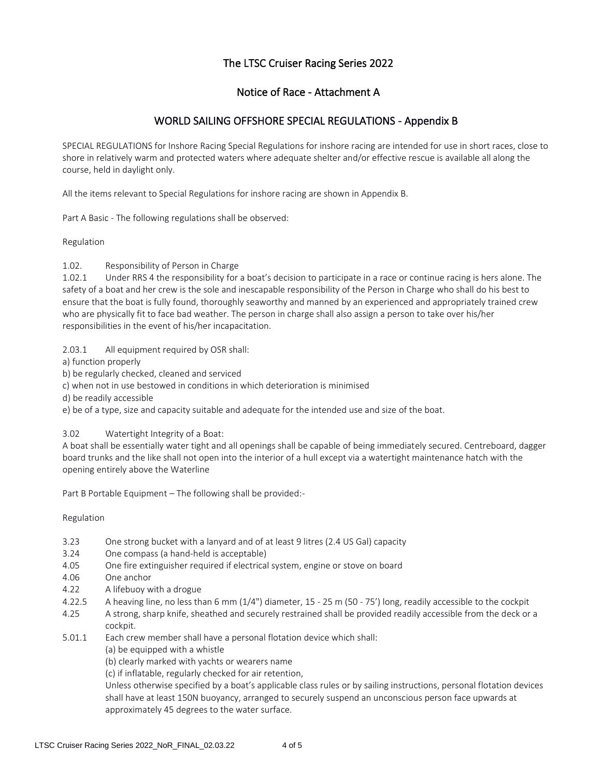#### The LTSC Cruiser Racing Series 2022

#### Notice of Race - Attachment A

#### WORLD SAILING OFFSHORE SPECIAL REGULATIONS - Appendix B

SPECIAL REGULATIONS for Inshore Racing Special Regulations for inshore racing are intended for use in short races, close to shore in relatively warm and protected waters where adequate shelter and/or effective rescue is available all along the course, held in daylight only.

All the items relevant to Special Regulations for inshore racing are shown in Appendix B.

Part A Basic - The following regulations shall be observed:

Regulation

1.02. Responsibility of Person in Charge

1.02.1 Under RRS 4 the responsibility for a boat's decision to participate in a race or continue racing is hers alone. The safety of a boat and her crew is the sole and inescapable responsibility of the Person in Charge who shall do his best to ensure that the boat is fully found, thoroughly seaworthy and manned by an experienced and appropriately trained crew who are physically fit to face bad weather. The person in charge shall also assign a person to take over his/her responsibilities in the event of his/her incapacitation.

2.03.1 All equipment required by OSR shall:

a) function properly

b) be regularly checked, cleaned and serviced

c) when not in use bestowed in conditions in which deterioration is minimised

d) be readily accessible

e) be of a type, size and capacity suitable and adequate for the intended use and size of the boat.

3.02 Watertight Integrity of a Boat:

A boat shall be essentially water tight and all openings shall be capable of being immediately secured. Centreboard, dagger board trunks and the like shall not open into the interior of a hull except via a watertight maintenance hatch with the opening entirely above the Waterline

Part B Portable Equipment – The following shall be provided:-

Regulation

- 3.23 One strong bucket with a lanyard and of at least 9 litres (2.4 US Gal) capacity
- 3.24 One compass (a hand-held is acceptable)
- 4.05 One fire extinguisher required if electrical system, engine or stove on board
- 4.06 One anchor
- 4.22 A lifebuoy with a drogue
- 4.22.5 A heaving line, no less than 6 mm (1/4") diameter, 15 25 m (50 75') long, readily accessible to the cockpit
- 4.25 A strong, sharp knife, sheathed and securely restrained shall be provided readily accessible from the deck or a cockpit.
- 5.01.1 Each crew member shall have a personal flotation device which shall:

(a) be equipped with a whistle

(b) clearly marked with yachts or wearers name

(c) if inflatable, regularly checked for air retention,

Unless otherwise specified by a boat's applicable class rules or by sailing instructions, personal flotation devices shall have at least 150N buoyancy, arranged to securely suspend an unconscious person face upwards at approximately 45 degrees to the water surface.